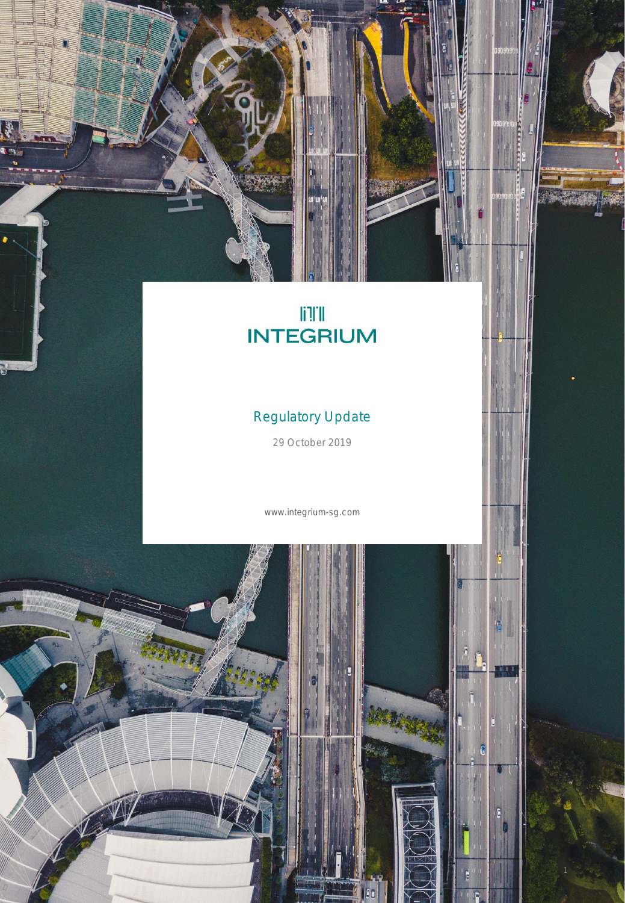# **ITE**<br>INTEGRIUM

ACCESSES

# Regulatory Update

29 October 2019

www.integrium-sg.com

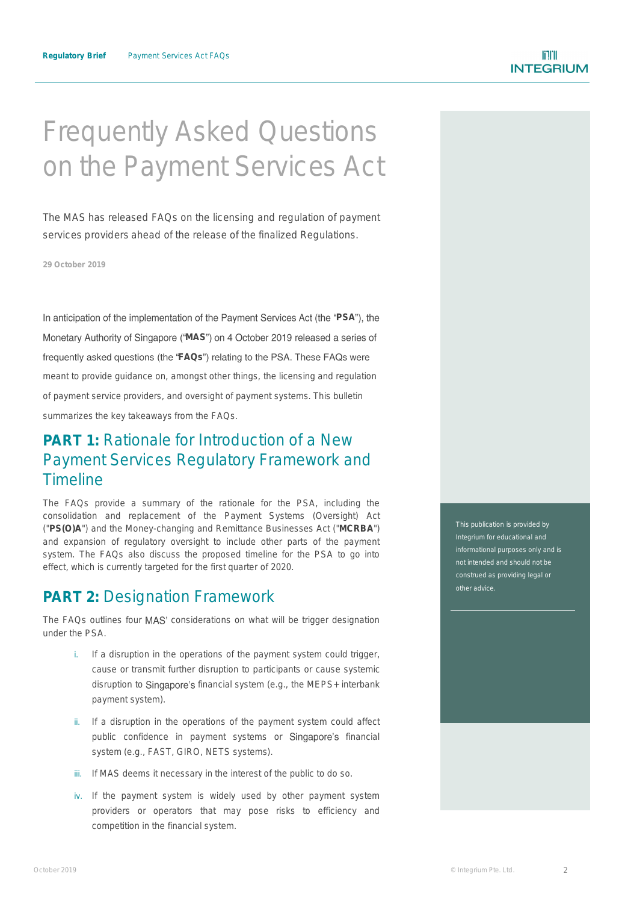# Frequently Asked Questions on the Payment Services Act

The MAS has released FAQs on the licensing and regulation of payment services providers ahead of the release of the finalized Regulations.

**29 October 2019**

In anticipation of the implementation of the Payment Services Act (the "PSA"), the Monetary Authority of Singapore ("MAS") on 4 October 2019 released a series of frequently asked questions (the "FAQs") relating to the PSA. These FAQs were meant to provide guidance on, amongst other things, the licensing and regulation of payment service providers, and oversight of payment systems. This bulletin summarizes the key takeaways from the FAQs.

# **PART 1:** Rationale for Introduction of a New Payment Services Regulatory Framework and Timeline

The FAQs provide a summary of the rationale for the PSA, including the consolidation and replacement of the Payment Systems (Oversight) Act ("**PS(O)A**") and the Money-changing and Remittance Businesses Act ("**MCRBA**") and expansion of regulatory oversight to include other parts of the payment system. The FAQs also discuss the proposed timeline for the PSA to go into effect, which is currently targeted for the first quarter of 2020.

## **PART 2:** Designation Framework

The FAQs outlines four MAS' considerations on what will be trigger designation under the PSA.

- i. If a disruption in the operations of the payment system could trigger, cause or transmit further disruption to participants or cause systemic disruption to Singapore's financial system (e.g., the MEPS+ interbank payment system).
- ii. If a disruption in the operations of the payment system could affect public confidence in payment systems or Singapore's financial system (e.g., FAST, GIRO, NETS systems).
- iii. If MAS deems it necessary in the interest of the public to do so.
- iv. If the payment system is widely used by other payment system providers or operators that may pose risks to efficiency and competition in the financial system.

This publication is provided by Integrium for educational and not intended and should not be construed as providing legal or other advice.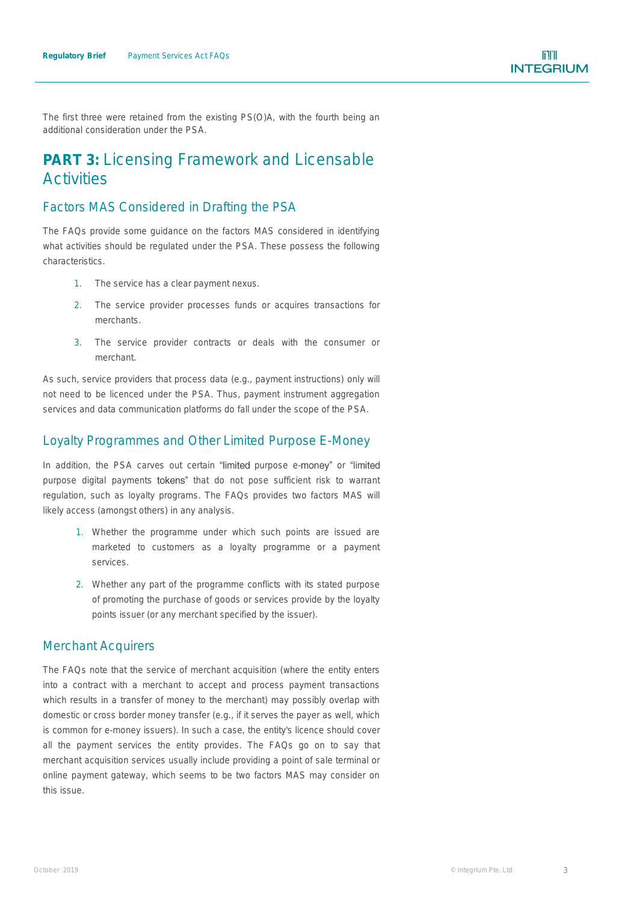The first three were retained from the existing PS(O)A, with the fourth being an additional consideration under the PSA.

# **PART 3:** Licensing Framework and Licensable **Activities**

#### *Factors MAS Considered in Drafting the PSA*

The FAQs provide some guidance on the factors MAS considered in identifying what activities should be regulated under the PSA. These possess the following characteristics.

- 1. The service has a clear payment nexus.
- 2. The service provider processes funds or acquires transactions for merchants.
- 3. The service provider contracts or deals with the consumer or merchant.

As such, service providers that process data (e.g., payment instructions) only will not need to be licenced under the PSA. Thus, payment instrument aggregation services and data communication platforms do fall under the scope of the PSA.

#### *Loyalty Programmes and Other Limited Purpose E-Money*

In addition, the PSA carves out certain "limited purpose e-money" or "limited purpose digital payments tokens" that do not pose sufficient risk to warrant regulation, such as loyalty programs. The FAQs provides two factors MAS will likely access (amongst others) in any analysis.

- 1. Whether the programme under which such points are issued are marketed to customers as a loyalty programme or a payment services.
- 2. Whether any part of the programme conflicts with its stated purpose of promoting the purchase of goods or services provide by the loyalty points issuer (or any merchant specified by the issuer).

#### *Merchant Acquirers*

The FAQs note that the service of merchant acquisition (where the entity enters into a contract with a merchant to accept and process payment transactions which results in a transfer of money to the merchant) may possibly overlap with domestic or cross border money transfer (e.g., if it serves the payer as well, which is common for e-money issuers). In such a case, the entity's licence should cover all the payment services the entity provides. The FAQs go on to say that merchant acquisition services usually include providing a point of sale terminal or online payment gateway, which seems to be two factors MAS may consider on this issue.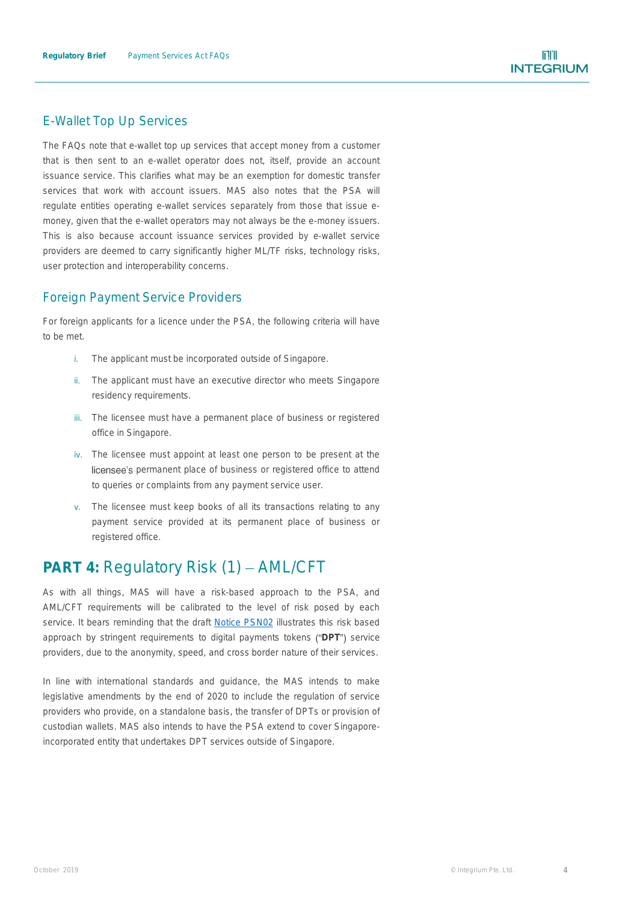#### *E-Wallet Top Up Services*

The FAQs note that e-wallet top up services that accept money from a customer that is then sent to an e-wallet operator does not, itself, provide an account issuance service. This clarifies what may be an exemption for domestic transfer services that work with account issuers. MAS also notes that the PSA will regulate entities operating e-wallet services separately from those that issue emoney, given that the e-wallet operators may not always be the e-money issuers. This is also because account issuance services provided by e-wallet service providers are deemed to carry significantly higher ML/TF risks, technology risks, user protection and interoperability concerns.

#### *Foreign Payment Service Providers*

For foreign applicants for a licence under the PSA, the following criteria will have to be met.

- i. The applicant must be incorporated outside of Singapore.
- ii. The applicant must have an executive director who meets Singapore residency requirements.
- iii. The licensee must have a permanent place of business or registered office in Singapore.
- iv. The licensee must appoint at least one person to be present at the licensee's permanent place of business or registered office to attend to queries or complaints from any payment service user.
- v. The licensee must keep books of all its transactions relating to any payment service provided at its permanent place of business or registered office.

# **PART 4: Regulatory Risk (1) - AML/CFT**

As with all things, MAS will have a risk-based approach to the PSA, and AML/CFT requirements will be calibrated to the level of risk posed by each service. It bears reminding that the draft Notice [PSN02](http://www.integrium-sg.com/psa_notice_sept19.html) illustrates this risk based approach by stringent requirements to digital payments tokens ("DPT") service providers, due to the anonymity, speed, and cross border nature of their services.

In line with international standards and guidance, the MAS intends to make legislative amendments by the end of 2020 to include the regulation of service providers who provide, on a standalone basis, the transfer of DPTs or provision of custodian wallets. MAS also intends to have the PSA extend to cover Singaporeincorporated entity that undertakes DPT services outside of Singapore.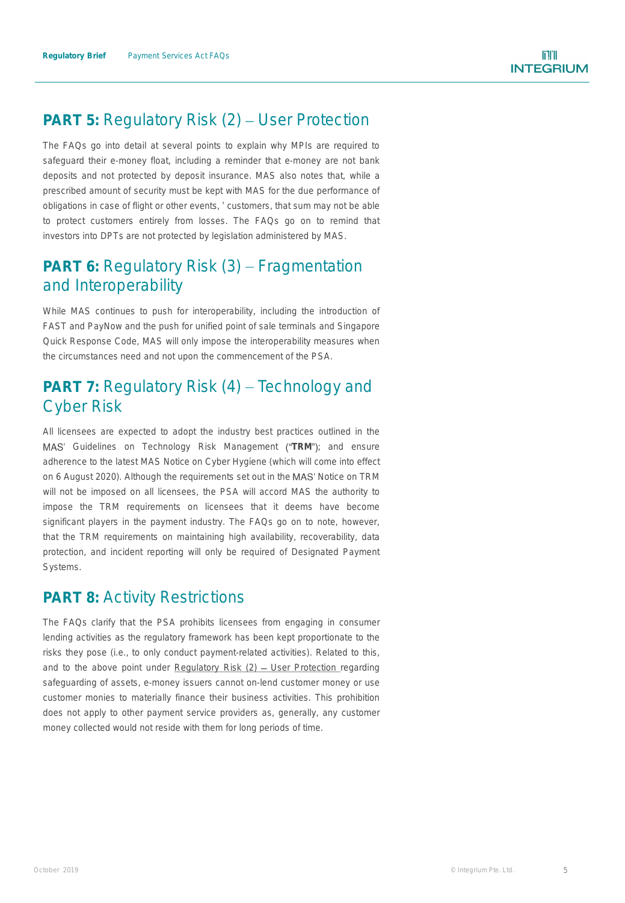# **PART 5: Regulatory Risk (2) - User Protection**

The FAQs go into detail at several points to explain why MPIs are required to safeguard their e-money float, including a reminder that e-money are not bank deposits and not protected by deposit insurance. MAS also notes that, while a prescribed amount of security must be kept with MAS for the due performance of obligations in case of flight or other events, ' customers, that sum may not be able to protect customers entirely from losses. The FAQs go on to remind that investors into DPTs are not protected by legislation administered by MAS.

# **PART 6: Regulatory Risk (3) – Fragmentation** and Interoperability

While MAS continues to push for interoperability, including the introduction of FAST and PayNow and the push for unified point of sale terminals and Singapore Quick Response Code, MAS will only impose the interoperability measures when the circumstances need and not upon the commencement of the PSA.

# **PART 7: Regulatory Risk (4) – Technology and** Cyber Risk

All licensees are expected to adopt the industry best practices outlined in the MAS' Guidelines on Technology Risk Management ("TRM"); and ensure adherence to the latest MAS Notice on Cyber Hygiene (which will come into effect on 6 August 2020). Although the requirements set out in the MAS' Notice on TRM will not be imposed on all licensees, the PSA will accord MAS the authority to impose the TRM requirements on licensees that it deems have become significant players in the payment industry. The FAQs go on to note, however, that the TRM requirements on maintaining high availability, recoverability, data protection, and incident reporting will only be required of Designated Payment Systems.

## **PART 8: Activity Restrictions**

The FAQs clarify that the PSA prohibits licensees from engaging in consumer lending activities as the regulatory framework has been kept proportionate to the risks they pose (i.e., to only conduct payment-related activities). Related to this, and to the above point under Regulatory Risk  $(2)$  – User Protection regarding safeguarding of assets, e-money issuers cannot on-lend customer money or use customer monies to materially finance their business activities. This prohibition does not apply to other payment service providers as, generally, any customer money collected would not reside with them for long periods of time.